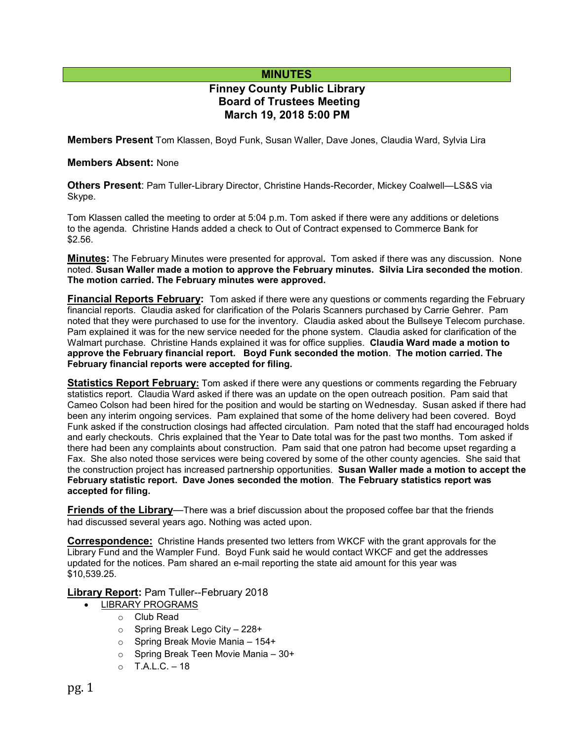## **MINUTES**

# **Finney County Public Library Board of Trustees Meeting March 19, 2018 5:00 PM**

**Members Present** Tom Klassen, Boyd Funk, Susan Waller, Dave Jones, Claudia Ward, Sylvia Lira

#### **Members Absent:** None

**Others Present**: Pam Tuller-Library Director, Christine Hands-Recorder, Mickey Coalwell—LS&S via Skype.

Tom Klassen called the meeting to order at 5:04 p.m. Tom asked if there were any additions or deletions to the agenda. Christine Hands added a check to Out of Contract expensed to Commerce Bank for \$2.56.

**Minutes:** The February Minutes were presented for approval**.** Tom asked if there was any discussion. None noted. **Susan Waller made a motion to approve the February minutes. Silvia Lira seconded the motion**. **The motion carried. The February minutes were approved.** 

**Financial Reports February:** Tom asked if there were any questions or comments regarding the February financial reports. Claudia asked for clarification of the Polaris Scanners purchased by Carrie Gehrer. Pam noted that they were purchased to use for the inventory. Claudia asked about the Bullseye Telecom purchase. Pam explained it was for the new service needed for the phone system. Claudia asked for clarification of the Walmart purchase. Christine Hands explained it was for office supplies. **Claudia Ward made a motion to approve the February financial report. Boyd Funk seconded the motion**. **The motion carried. The February financial reports were accepted for filing.**

**Statistics Report February:** Tom asked if there were any questions or comments regarding the February statistics report. Claudia Ward asked if there was an update on the open outreach position. Pam said that Cameo Colson had been hired for the position and would be starting on Wednesday. Susan asked if there had been any interim ongoing services. Pam explained that some of the home delivery had been covered. Boyd Funk asked if the construction closings had affected circulation. Pam noted that the staff had encouraged holds and early checkouts. Chris explained that the Year to Date total was for the past two months. Tom asked if there had been any complaints about construction. Pam said that one patron had become upset regarding a Fax. She also noted those services were being covered by some of the other county agencies. She said that the construction project has increased partnership opportunities. **Susan Waller made a motion to accept the February statistic report. Dave Jones seconded the motion**. **The February statistics report was accepted for filing.**

**Friends of the Library**—There was a brief discussion about the proposed coffee bar that the friends had discussed several years ago. Nothing was acted upon.

**Correspondence:** Christine Hands presented two letters from WKCF with the grant approvals for the Library Fund and the Wampler Fund. Boyd Funk said he would contact WKCF and get the addresses updated for the notices. Pam shared an e-mail reporting the state aid amount for this year was \$10,539.25.

**Library Report:** Pam Tuller--February 2018

- LIBRARY PROGRAMS
	- o Club Read
	- o Spring Break Lego City 228+
	- o Spring Break Movie Mania 154+
	- o Spring Break Teen Movie Mania 30+
	- $O$  T.A.L.C. 18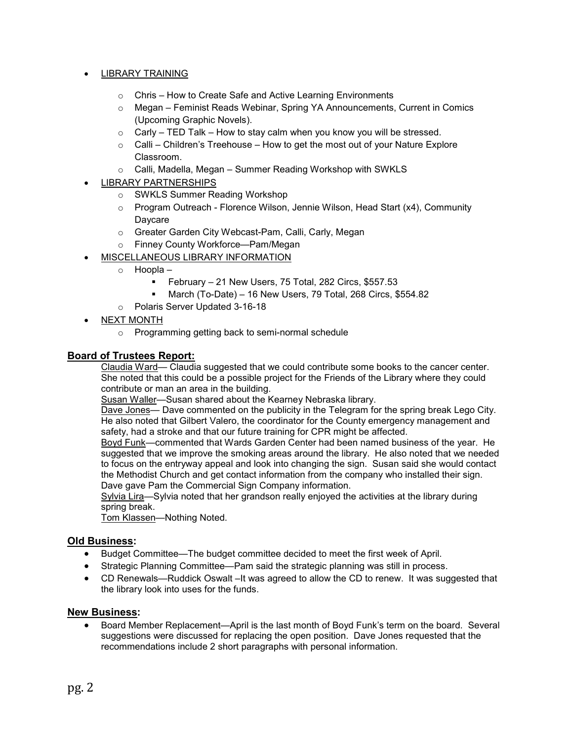### • LIBRARY TRAINING

- o Chris How to Create Safe and Active Learning Environments
- o Megan Feminist Reads Webinar, Spring YA Announcements, Current in Comics (Upcoming Graphic Novels).
- $\circ$  Carly TED Talk How to stay calm when you know you will be stressed.
- $\circ$  Calli Children's Treehouse How to get the most out of your Nature Explore Classroom.
- o Calli, Madella, Megan Summer Reading Workshop with SWKLS
- LIBRARY PARTNERSHIPS
	- o SWKLS Summer Reading Workshop
	- o Program Outreach Florence Wilson, Jennie Wilson, Head Start (x4), Community Daycare
	- o Greater Garden City Webcast-Pam, Calli, Carly, Megan
	- o Finney County Workforce—Pam/Megan
- MISCELLANEOUS LIBRARY INFORMATION
	- o Hoopla
		- February 21 New Users, 75 Total, 282 Circs, \$557.53
		- March (To-Date) 16 New Users, 79 Total, 268 Circs, \$554.82
	- o Polaris Server Updated 3-16-18
- NEXT MONTH
	- o Programming getting back to semi-normal schedule

#### **Board of Trustees Report:**

Claudia Ward— Claudia suggested that we could contribute some books to the cancer center. She noted that this could be a possible project for the Friends of the Library where they could contribute or man an area in the building.

Susan Waller-Susan shared about the Kearney Nebraska library.

Dave Jones— Dave commented on the publicity in the Telegram for the spring break Lego City. He also noted that Gilbert Valero, the coordinator for the County emergency management and safety, had a stroke and that our future training for CPR might be affected.

Boyd Funk—commented that Wards Garden Center had been named business of the year. He suggested that we improve the smoking areas around the library. He also noted that we needed to focus on the entryway appeal and look into changing the sign. Susan said she would contact the Methodist Church and get contact information from the company who installed their sign. Dave gave Pam the Commercial Sign Company information.

Sylvia Lira—Sylvia noted that her grandson really enjoyed the activities at the library during spring break.

Tom Klassen-Nothing Noted.

#### **Old Business:**

- Budget Committee—The budget committee decided to meet the first week of April.
- Strategic Planning Committee—Pam said the strategic planning was still in process.
- CD Renewals—Ruddick Oswalt –It was agreed to allow the CD to renew. It was suggested that the library look into uses for the funds.

#### **New Business:**

• Board Member Replacement—April is the last month of Boyd Funk's term on the board. Several suggestions were discussed for replacing the open position. Dave Jones requested that the recommendations include 2 short paragraphs with personal information.